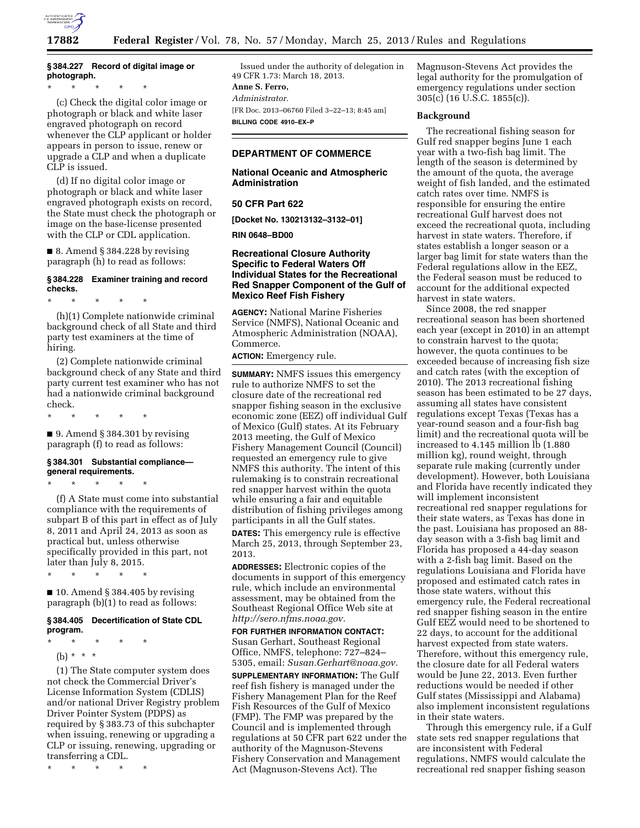

# **§ 384.227 Record of digital image or photograph.**

\* \* \* \* \*

(c) Check the digital color image or photograph or black and white laser engraved photograph on record whenever the CLP applicant or holder appears in person to issue, renew or upgrade a CLP and when a duplicate CLP is issued.

(d) If no digital color image or photograph or black and white laser engraved photograph exists on record, the State must check the photograph or image on the base-license presented with the CLP or CDL application.

 $\blacksquare$  8. Amend § 384.228 by revising paragraph (h) to read as follows:

# **§ 384.228 Examiner training and record checks.**

\* \* \* \* \*

(h)(1) Complete nationwide criminal background check of all State and third party test examiners at the time of hiring.

(2) Complete nationwide criminal background check of any State and third party current test examiner who has not had a nationwide criminal background check.

\* \* \* \* \*

 $\blacksquare$  9. Amend § 384.301 by revising paragraph (f) to read as follows:

# **§ 384.301 Substantial compliance general requirements.**

\* \* \* \* \*

(f) A State must come into substantial compliance with the requirements of subpart B of this part in effect as of July 8, 2011 and April 24, 2013 as soon as practical but, unless otherwise specifically provided in this part, not later than July 8, 2015.

\* \* \* \* \*

 $\blacksquare$  10. Amend § 384.405 by revising paragraph (b)(1) to read as follows:

#### **§ 384.405 Decertification of State CDL program.**

- \* \* \* \* \*
	- (b) \* \* \*

(1) The State computer system does not check the Commercial Driver's License Information System (CDLIS) and/or national Driver Registry problem Driver Pointer System (PDPS) as required by § 383.73 of this subchapter when issuing, renewing or upgrading a CLP or issuing, renewing, upgrading or transferring a CDL.

\* \* \* \* \*

Issued under the authority of delegation in 49 CFR 1.73: March 18, 2013. **Anne S. Ferro,**  *Administrator.* 

[FR Doc. 2013–06760 Filed 3–22–13; 8:45 am] **BILLING CODE 4910–EX–P** 

# **DEPARTMENT OF COMMERCE**

# **National Oceanic and Atmospheric Administration**

## **50 CFR Part 622**

**[Docket No. 130213132–3132–01]** 

**RIN 0648–BD00** 

# **Recreational Closure Authority Specific to Federal Waters Off Individual States for the Recreational Red Snapper Component of the Gulf of Mexico Reef Fish Fishery**

**AGENCY:** National Marine Fisheries Service (NMFS), National Oceanic and Atmospheric Administration (NOAA), Commerce.

**ACTION:** Emergency rule.

**SUMMARY:** NMFS issues this emergency rule to authorize NMFS to set the closure date of the recreational red snapper fishing season in the exclusive economic zone (EEZ) off individual Gulf of Mexico (Gulf) states. At its February 2013 meeting, the Gulf of Mexico Fishery Management Council (Council) requested an emergency rule to give NMFS this authority. The intent of this rulemaking is to constrain recreational red snapper harvest within the quota while ensuring a fair and equitable distribution of fishing privileges among participants in all the Gulf states.

**DATES:** This emergency rule is effective March 25, 2013, through September 23, 2013.

**ADDRESSES:** Electronic copies of the documents in support of this emergency rule, which include an environmental assessment, may be obtained from the Southeast Regional Office Web site at *[http://sero.nfms.noaa.gov.](http://sero.nfms.noaa.gov)* 

# **FOR FURTHER INFORMATION CONTACT:**  Susan Gerhart, Southeast Regional Office, NMFS, telephone: 727–824– 5305, email: *[Susan.Gerhart@noaa.gov.](mailto:Susan.Gerhart@noaa.gov)*

**SUPPLEMENTARY INFORMATION:** The Gulf reef fish fishery is managed under the Fishery Management Plan for the Reef Fish Resources of the Gulf of Mexico (FMP). The FMP was prepared by the Council and is implemented through regulations at 50 CFR part 622 under the authority of the Magnuson-Stevens Fishery Conservation and Management Act (Magnuson-Stevens Act). The

Magnuson-Stevens Act provides the legal authority for the promulgation of emergency regulations under section 305(c) (16 U.S.C. 1855(c)).

## **Background**

The recreational fishing season for Gulf red snapper begins June 1 each year with a two-fish bag limit. The length of the season is determined by the amount of the quota, the average weight of fish landed, and the estimated catch rates over time. NMFS is responsible for ensuring the entire recreational Gulf harvest does not exceed the recreational quota, including harvest in state waters. Therefore, if states establish a longer season or a larger bag limit for state waters than the Federal regulations allow in the EEZ, the Federal season must be reduced to account for the additional expected harvest in state waters.

Since 2008, the red snapper recreational season has been shortened each year (except in 2010) in an attempt to constrain harvest to the quota; however, the quota continues to be exceeded because of increasing fish size and catch rates (with the exception of 2010). The 2013 recreational fishing season has been estimated to be 27 days, assuming all states have consistent regulations except Texas (Texas has a year-round season and a four-fish bag limit) and the recreational quota will be increased to 4.145 million lb (1.880 million kg), round weight, through separate rule making (currently under development). However, both Louisiana and Florida have recently indicated they will implement inconsistent recreational red snapper regulations for their state waters, as Texas has done in the past. Louisiana has proposed an 88 day season with a 3-fish bag limit and Florida has proposed a 44-day season with a 2-fish bag limit. Based on the regulations Louisiana and Florida have proposed and estimated catch rates in those state waters, without this emergency rule, the Federal recreational red snapper fishing season in the entire Gulf EEZ would need to be shortened to 22 days, to account for the additional harvest expected from state waters. Therefore, without this emergency rule, the closure date for all Federal waters would be June 22, 2013. Even further reductions would be needed if other Gulf states (Mississippi and Alabama) also implement inconsistent regulations in their state waters.

Through this emergency rule, if a Gulf state sets red snapper regulations that are inconsistent with Federal regulations, NMFS would calculate the recreational red snapper fishing season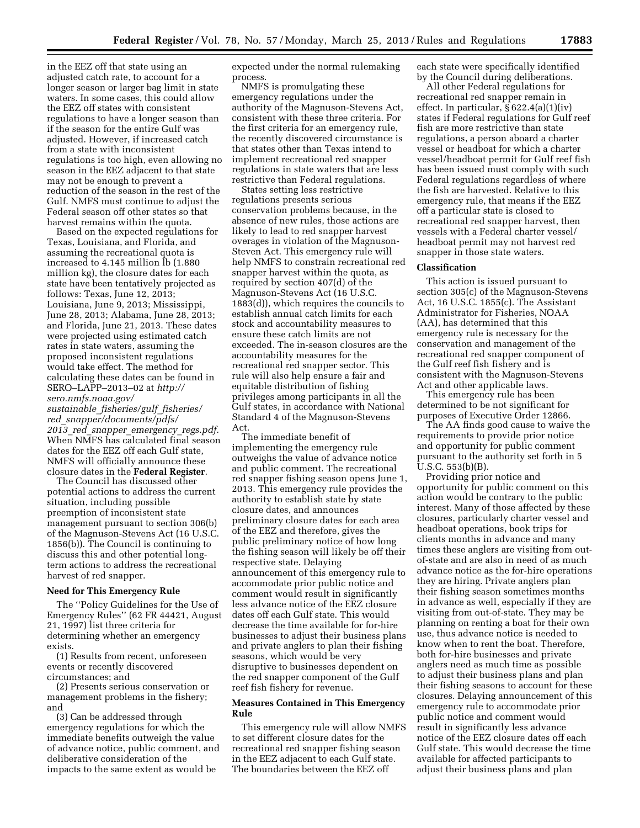in the EEZ off that state using an adjusted catch rate, to account for a longer season or larger bag limit in state waters. In some cases, this could allow the EEZ off states with consistent regulations to have a longer season than if the season for the entire Gulf was adjusted. However, if increased catch from a state with inconsistent regulations is too high, even allowing no season in the EEZ adjacent to that state may not be enough to prevent a reduction of the season in the rest of the Gulf. NMFS must continue to adjust the Federal season off other states so that harvest remains within the quota.

Based on the expected regulations for Texas, Louisiana, and Florida, and assuming the recreational quota is increased to 4.145 million lb (1.880 million kg), the closure dates for each state have been tentatively projected as follows: Texas, June 12, 2013; Louisiana, June 9, 2013; Mississippi, June 28, 2013; Alabama, June 28, 2013; and Florida, June 21, 2013. These dates were projected using estimated catch rates in state waters, assuming the proposed inconsistent regulations would take effect. The method for calculating these dates can be found in SERO–LAPP–2013–02 at *[http://](http://sero.nmfs.noaa.gov/sustainable_fisheries/gulf_fisheries/red_snapper/documents/pdfs/2013_red_snapper_emergency_regs.pdf) [sero.nmfs.noaa.gov/](http://sero.nmfs.noaa.gov/sustainable_fisheries/gulf_fisheries/red_snapper/documents/pdfs/2013_red_snapper_emergency_regs.pdf) sustainable*\_*[fisheries/gulf](http://sero.nmfs.noaa.gov/sustainable_fisheries/gulf_fisheries/red_snapper/documents/pdfs/2013_red_snapper_emergency_regs.pdf)*\_*fisheries/* 

*red*\_*[snapper/documents/pdfs/](http://sero.nmfs.noaa.gov/sustainable_fisheries/gulf_fisheries/red_snapper/documents/pdfs/2013_red_snapper_emergency_regs.pdf) 2013*\_*red*\_*snapper*\_*[emergency](http://sero.nmfs.noaa.gov/sustainable_fisheries/gulf_fisheries/red_snapper/documents/pdfs/2013_red_snapper_emergency_regs.pdf)*\_*regs.pdf.*  When NMFS has calculated final season dates for the EEZ off each Gulf state, NMFS will officially announce these closure dates in the **Federal Register**.

The Council has discussed other potential actions to address the current situation, including possible preemption of inconsistent state management pursuant to section 306(b) of the Magnuson-Stevens Act (16 U.S.C. 1856(b)). The Council is continuing to discuss this and other potential longterm actions to address the recreational harvest of red snapper.

## **Need for This Emergency Rule**

The ''Policy Guidelines for the Use of Emergency Rules'' (62 FR 44421, August 21, 1997) list three criteria for determining whether an emergency exists.

(1) Results from recent, unforeseen events or recently discovered circumstances; and

(2) Presents serious conservation or management problems in the fishery; and

(3) Can be addressed through emergency regulations for which the immediate benefits outweigh the value of advance notice, public comment, and deliberative consideration of the impacts to the same extent as would be

expected under the normal rulemaking process.

NMFS is promulgating these emergency regulations under the authority of the Magnuson-Stevens Act, consistent with these three criteria. For the first criteria for an emergency rule, the recently discovered circumstance is that states other than Texas intend to implement recreational red snapper regulations in state waters that are less restrictive than Federal regulations.

States setting less restrictive regulations presents serious conservation problems because, in the absence of new rules, those actions are likely to lead to red snapper harvest overages in violation of the Magnuson-Steven Act. This emergency rule will help NMFS to constrain recreational red snapper harvest within the quota, as required by section 407(d) of the Magnuson-Stevens Act (16 U.S.C. 1883(d)), which requires the councils to establish annual catch limits for each stock and accountability measures to ensure these catch limits are not exceeded. The in-season closures are the accountability measures for the recreational red snapper sector. This rule will also help ensure a fair and equitable distribution of fishing privileges among participants in all the Gulf states, in accordance with National Standard 4 of the Magnuson-Stevens Act.

The immediate benefit of implementing the emergency rule outweighs the value of advance notice and public comment. The recreational red snapper fishing season opens June 1, 2013. This emergency rule provides the authority to establish state by state closure dates, and announces preliminary closure dates for each area of the EEZ and therefore, gives the public preliminary notice of how long the fishing season will likely be off their respective state. Delaying announcement of this emergency rule to accommodate prior public notice and comment would result in significantly less advance notice of the EEZ closure dates off each Gulf state. This would decrease the time available for for-hire businesses to adjust their business plans and private anglers to plan their fishing seasons, which would be very disruptive to businesses dependent on the red snapper component of the Gulf reef fish fishery for revenue.

## **Measures Contained in This Emergency Rule**

This emergency rule will allow NMFS to set different closure dates for the recreational red snapper fishing season in the EEZ adjacent to each Gulf state. The boundaries between the EEZ off

each state were specifically identified by the Council during deliberations.

All other Federal regulations for recreational red snapper remain in effect. In particular, § 622.4(a)(1)(iv) states if Federal regulations for Gulf reef fish are more restrictive than state regulations, a person aboard a charter vessel or headboat for which a charter vessel/headboat permit for Gulf reef fish has been issued must comply with such Federal regulations regardless of where the fish are harvested. Relative to this emergency rule, that means if the EEZ off a particular state is closed to recreational red snapper harvest, then vessels with a Federal charter vessel/ headboat permit may not harvest red snapper in those state waters.

## **Classification**

This action is issued pursuant to section 305(c) of the Magnuson-Stevens Act, 16 U.S.C. 1855(c). The Assistant Administrator for Fisheries, NOAA (AA), has determined that this emergency rule is necessary for the conservation and management of the recreational red snapper component of the Gulf reef fish fishery and is consistent with the Magnuson-Stevens Act and other applicable laws.

This emergency rule has been determined to be not significant for purposes of Executive Order 12866.

The AA finds good cause to waive the requirements to provide prior notice and opportunity for public comment pursuant to the authority set forth in 5 U.S.C. 553(b)(B).

Providing prior notice and opportunity for public comment on this action would be contrary to the public interest. Many of those affected by these closures, particularly charter vessel and headboat operations, book trips for clients months in advance and many times these anglers are visiting from outof-state and are also in need of as much advance notice as the for-hire operations they are hiring. Private anglers plan their fishing season sometimes months in advance as well, especially if they are visiting from out-of-state. They may be planning on renting a boat for their own use, thus advance notice is needed to know when to rent the boat. Therefore, both for-hire businesses and private anglers need as much time as possible to adjust their business plans and plan their fishing seasons to account for these closures. Delaying announcement of this emergency rule to accommodate prior public notice and comment would result in significantly less advance notice of the EEZ closure dates off each Gulf state. This would decrease the time available for affected participants to adjust their business plans and plan